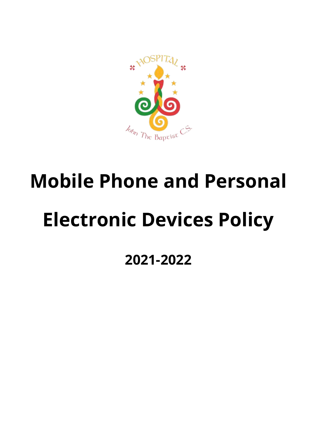

# **Mobile Phone and Personal Electronic Devices Policy**

# **2021-2022**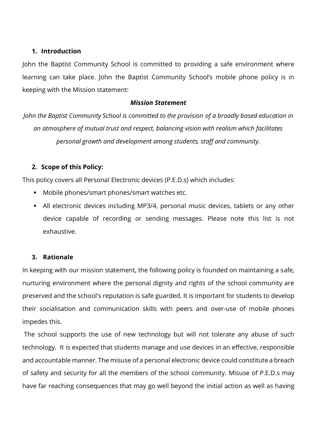#### **1. Introduction**

John the Baptist Community School is committed to providing a safe environment where learning can take place. John the Baptist Community School's mobile phone policy is in keeping with the Mission statement:

#### *Mission Statement*

*John the Baptist Community School is committed to the provision of a broadly based education in an atmosphere of mutual trust and respect, balancing vision with realism which facilitates personal growth and development among students, staff and community.*

#### **2. Scope of this Policy:**

This policy covers all Personal Electronic devices (P.E.D.s) which includes:

- Mobile phones/smart phones/smart watches etc.
- **EXT** All electronic devices including MP3/4, personal music devices, tablets or any other device capable of recording or sending messages. Please note this list is not exhaustive.

#### **3. Rationale**

In keeping with our mission statement, the following policy is founded on maintaining a safe, nurturing environment where the personal dignity and rights of the school community are preserved and the school's reputation is safe guarded. It is important for students to develop their socialisation and communication skills with peers and over-use of mobile phones impedes this.

The school supports the use of new technology but will not tolerate any abuse of such technology. It is expected that students manage and use devices in an effective, responsible and accountable manner. The misuse of a personal electronic device could constitute a breach of safety and security for all the members of the school community. Misuse of P.E.D.s may have far reaching consequences that may go well beyond the initial action as well as having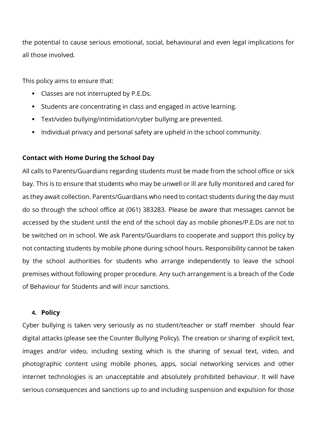the potential to cause serious emotional, social, behavioural and even legal implications for all those involved.

This policy aims to ensure that:

- Classes are not interrupted by P.E.Ds.
- Students are concentrating in class and engaged in active learning.
- Text/video bullying/intimidation/cyber bullying are prevented.
- Individual privacy and personal safety are upheld in the school community.

### **Contact with Home During the School Day**

All calls to Parents/Guardians regarding students must be made from the school office or sick bay. This is to ensure that students who may be unwell or ill are fully monitored and cared for as they await collection. Parents/Guardians who need to contact students during the day must do so through the school office at (061) 383283. Please be aware that messages cannot be accessed by the student until the end of the school day as mobile phones/P.E.Ds are not to be switched on in school. We ask Parents/Guardians to cooperate and support this policy by not contacting students by mobile phone during school hours. Responsibility cannot be taken by the school authorities for students who arrange independently to leave the school premises without following proper procedure. Any such arrangement is a breach of the Code of Behaviour for Students and will incur sanctions.

#### **4. Policy**

Cyber bullying is taken very seriously as no student/teacher or staff member should fear digital attacks (please see the Counter Bullying Policy). The creation or sharing of explicit text, images and/or video, including sexting which is the sharing of sexual text, video, and photographic content using mobile phones, apps, social networking services and other internet technologies is an unacceptable and absolutely prohibited behaviour. It will have serious consequences and sanctions up to and including suspension and expulsion for those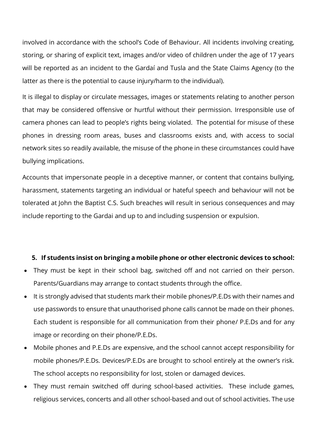involved in accordance with the school's Code of Behaviour. All incidents involving creating, storing, or sharing of explicit text, images and/or video of children under the age of 17 years will be reported as an incident to the Gardaí and Tusla and the State Claims Agency (to the latter as there is the potential to cause injury/harm to the individual).

It is illegal to display or circulate messages, images or statements relating to another person that may be considered offensive or hurtful without their permission. Irresponsible use of camera phones can lead to people's rights being violated. The potential for misuse of these phones in dressing room areas, buses and classrooms exists and, with access to social network sites so readily available, the misuse of the phone in these circumstances could have bullying implications.

Accounts that impersonate people in a deceptive manner, or content that contains bullying, harassment, statements targeting an individual or hateful speech and behaviour will not be tolerated at John the Baptist C.S. Such breaches will result in serious consequences and may include reporting to the Gardai and up to and including suspension or expulsion.

#### **5. If students insist on bringing a mobile phone or other electronic devices to school:**

- They must be kept in their school bag, switched off and not carried on their person. Parents/Guardians may arrange to contact students through the office.
- It is strongly advised that students mark their mobile phones/P.E.Ds with their names and use passwords to ensure that unauthorised phone calls cannot be made on their phones. Each student is responsible for all communication from their phone/ P.E.Ds and for any image or recording on their phone/P.E.Ds.
- Mobile phones and P.E.Ds are expensive, and the school cannot accept responsibility for mobile phones/P.E.Ds. Devices/P.E.Ds are brought to school entirely at the owner's risk. The school accepts no responsibility for lost, stolen or damaged devices.
- They must remain switched off during school-based activities. These include games, religious services, concerts and all other school-based and out of school activities. The use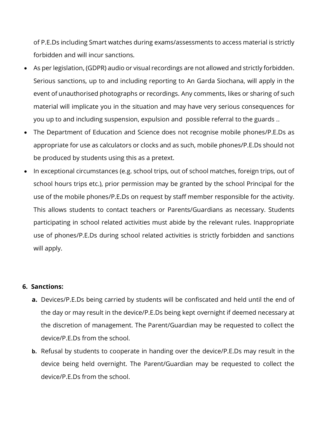of P.E.Ds including Smart watches during exams/assessments to access material is strictly forbidden and will incur sanctions.

- As per legislation, (GDPR) audio or visual recordings are not allowed and strictly forbidden. Serious sanctions, up to and including reporting to An Garda Siochana, will apply in the event of unauthorised photographs or recordings. Any comments, likes or sharing of such material will implicate you in the situation and may have very serious consequences for you up to and including suspension, expulsion and possible referral to the guards ..
- The Department of Education and Science does not recognise mobile phones/P.E.Ds as appropriate for use as calculators or clocks and as such, mobile phones/P.E.Ds should not be produced by students using this as a pretext.
- In exceptional circumstances (e.g. school trips, out of school matches, foreign trips, out of school hours trips etc.), prior permission may be granted by the school Principal for the use of the mobile phones/P.E.Ds on request by staff member responsible for the activity. This allows students to contact teachers or Parents/Guardians as necessary. Students participating in school related activities must abide by the relevant rules. Inappropriate use of phones/P.E.Ds during school related activities is strictly forbidden and sanctions will apply.

#### **6. Sanctions:**

- **a.** Devices/P.E.Ds being carried by students will be confiscated and held until the end of the day or may result in the device/P.E.Ds being kept overnight if deemed necessary at the discretion of management. The Parent/Guardian may be requested to collect the device/P.E.Ds from the school.
- **b.** Refusal by students to cooperate in handing over the device/P.E.Ds may result in the device being held overnight. The Parent/Guardian may be requested to collect the device/P.E.Ds from the school.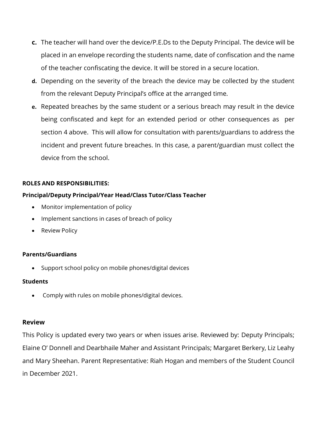- **c.** The teacher will hand over the device/P.E.Ds to the Deputy Principal. The device will be placed in an envelope recording the students name, date of confiscation and the name of the teacher confiscating the device. It will be stored in a secure location.
- **d.** Depending on the severity of the breach the device may be collected by the student from the relevant Deputy Principal's office at the arranged time.
- **e.** Repeated breaches by the same student or a serious breach may result in the device being confiscated and kept for an extended period or other consequences as per section 4 above. This will allow for consultation with parents/guardians to address the incident and prevent future breaches. In this case, a parent/guardian must collect the device from the school.

#### **ROLES AND RESPONSIBILITIES:**

#### **Principal/Deputy Principal/Year Head/Class Tutor/Class Teacher**

- Monitor implementation of policy
- Implement sanctions in cases of breach of policy
- Review Policy

#### **Parents/Guardians**

• Support school policy on mobile phones/digital devices

#### **Students**

• Comply with rules on mobile phones/digital devices.

#### **Review**

This Policy is updated every two years or when issues arise. Reviewed by: Deputy Principals; Elaine O' Donnell and Dearbhaile Maher and Assistant Principals; Margaret Berkery, Liz Leahy and Mary Sheehan. Parent Representative: Riah Hogan and members of the Student Council in December 2021.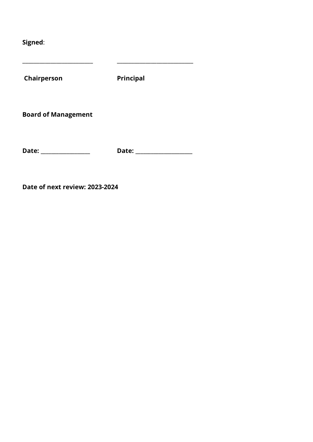**Signed**:

**Chairperson Principal Board of Management** 

\_\_\_\_\_\_\_\_\_\_\_\_\_\_\_\_\_\_\_\_\_\_\_\_\_ \_\_\_\_\_\_\_\_\_\_\_\_\_\_\_\_\_\_\_\_\_\_\_\_\_\_\_

**Date: \_\_\_\_\_\_\_\_\_\_\_\_\_\_\_\_\_\_\_ Date: \_\_\_\_\_\_\_\_\_\_\_\_\_\_\_\_\_\_\_\_\_\_** 

**Date of next review: 2023-2024**